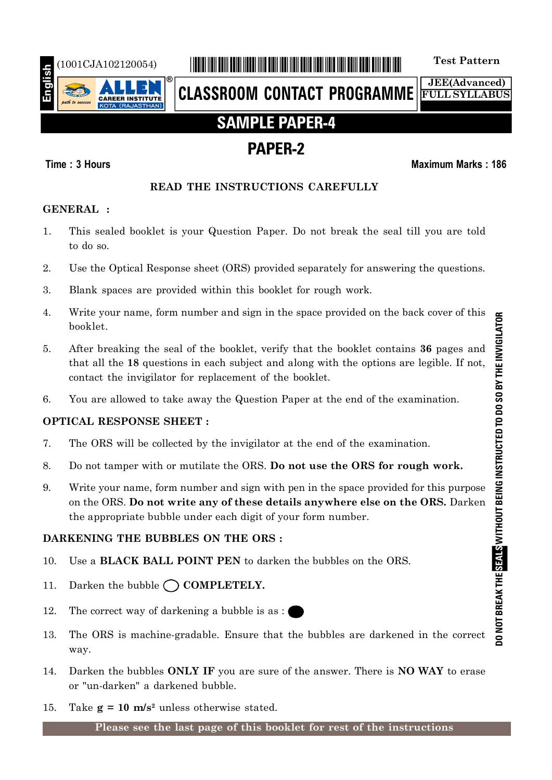

# (1001CJA102120054) \*1001CJA102120054\* **Test Pattern**

**CLASSROOM CONTACT PROGRAMME**

**JEE(Advanced) FULL SYLLABUS**

# **SAMPLE PAPER-4**

# **PAPER-2**

# **Time : 3 Hours Maximum Marks : 186**

# **READ THE INSTRUCTIONS CAREFULLY**

# **GENERAL :**

- 1. This sealed booklet is your Question Paper. Do not break the seal till you are told to do so.
- 2. Use the Optical Response sheet (ORS) provided separately for answering the questions.
- 3. Blank spaces are provided within this booklet for rough work.
- 4. Write your name, form number and sign in the space provided on the back cover of this booklet.
- 5. After breaking the seal of the booklet, verify that the booklet contains **36** pages and that all the **18** questions in each subject and along with the options are legible. If not, contact the invigilator for replacement of the booklet.
- 6. You are allowed to take away the Question Paper at the end of the examination.

# **OPTICAL RESPONSE SHEET :**

- 7. The ORS will be collected by the invigilator at the end of the examination.
- 8. Do not tamper with or mutilate the ORS. **Do not use the ORS for rough work.**
- 9. Write your name, form number and sign with pen in the space provided for this purpose on the ORS. **Do not write any of these details anywhere else on the ORS.** Darken the appropriate bubble under each digit of your form number.

# **DARKENING THE BUBBLES ON THE ORS :**

- 10. Use a **BLACK BALL POINT PEN** to darken the bubbles on the ORS.
- 11. Darken the bubble  $\bigcap$  **COMPLETELY.**
- 12. The correct way of darkening a bubble is as :
- 13. The ORS is machine-gradable. Ensure that the bubbles are darkened in the correct way.
- 14. Darken the bubbles **ONLY IF** you are sure of the answer. There is **NO WAY** to erase or "un-darken" a darkened bubble.
- 15. Take  $g = 10$  m/s<sup>2</sup> unless otherwise stated.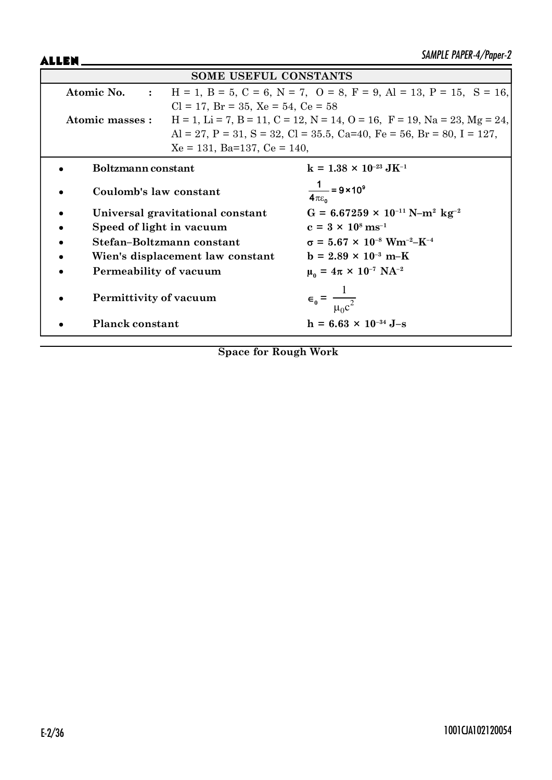ALLEN\_

| <b>SOME USEFUL CONSTANTS</b> |                                                                                                               |                                                                             |  |  |  |  |
|------------------------------|---------------------------------------------------------------------------------------------------------------|-----------------------------------------------------------------------------|--|--|--|--|
|                              | $H = 1$ , $B = 5$ , $C = 6$ , $N = 7$ , $O = 8$ , $F = 9$ , $Al = 13$ , $P = 15$ , $S = 16$ ,<br>Atomic No. : |                                                                             |  |  |  |  |
|                              | $Cl = 17$ , $Br = 35$ , $Xe = 54$ , $Ce = 58$                                                                 |                                                                             |  |  |  |  |
| Atomic masses :              |                                                                                                               | $H = 1$ , Li = 7, B = 11, C = 12, N = 14, O = 16, F = 19, Na = 23, Mg = 24, |  |  |  |  |
|                              |                                                                                                               | Al = 27, P = 31, S = 32, Cl = 35.5, Ca=40, Fe = 56, Br = 80, I = 127,       |  |  |  |  |
|                              | $Xe = 131$ , Ba=137, Ce = 140,                                                                                |                                                                             |  |  |  |  |
| Boltzmann constant           |                                                                                                               | $k = 1.38 \times 10^{-23} \text{ J} \text{K}^{-1}$                          |  |  |  |  |
| Coulomb's law constant       |                                                                                                               | $\frac{1}{4\pi\epsilon_0}$ = 9 × 10 <sup>9</sup>                            |  |  |  |  |
|                              | Universal gravitational constant                                                                              | $G = 6.67259 \times 10^{-11} \text{ N} - \text{m}^2 \text{ kg}^{-2}$        |  |  |  |  |
| Speed of light in vacuum     |                                                                                                               | $c = 3 \times 10^8 \text{ ms}^{-1}$                                         |  |  |  |  |
|                              | Stefan-Boltzmann constant                                                                                     | $\sigma = 5.67 \times 10^{-8}$ Wm <sup>-2</sup> -K <sup>-4</sup>            |  |  |  |  |
|                              | Wien's displacement law constant                                                                              | $b = 2.89 \times 10^{-3} \text{ m-K}$                                       |  |  |  |  |
| Permeability of vacuum       |                                                                                                               | $\mu_0 = 4\pi \times 10^{-7} \text{ NA}^{-2}$                               |  |  |  |  |
| Permittivity of vacuum       |                                                                                                               | $\epsilon_0 = \frac{1}{\mu_0 c^2}$                                          |  |  |  |  |
| <b>Planck constant</b>       |                                                                                                               | $h = 6.63 \times 10^{-34}$ J-s                                              |  |  |  |  |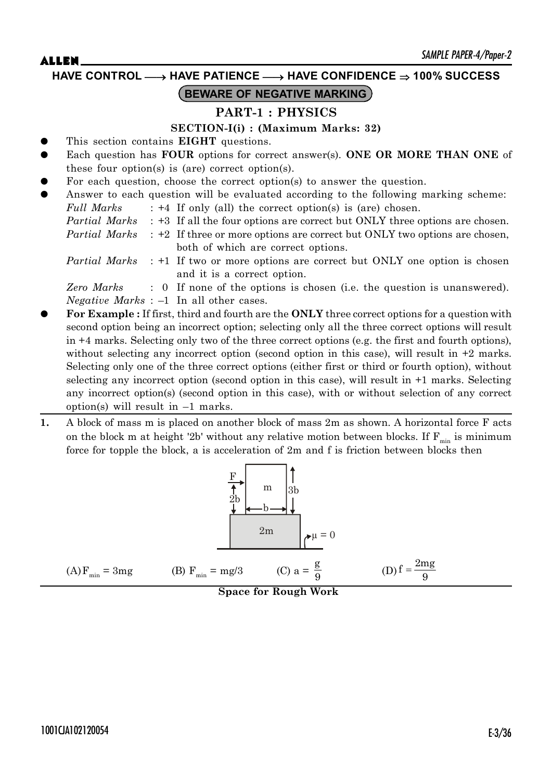**HAVE CONTROL** o **HAVE PATIENCE** o **HAVE CONFIDENCE 100% SUCCESS**

# **BEWARE OF NEGATIVE MARKING**

### **PART-1 : PHYSICS**

### **SECTION-I(i) : (Maximum Marks: 32)**

- This section contains **EIGHT** questions.
- Each question has **FOUR** options for correct answer(s). **ONE OR MORE THAN ONE** of these four option(s) is (are) correct option(s).
- For each question, choose the correct option(s) to answer the question.
- Answer to each question will be evaluated according to the following marking scheme: *Full Marks* : +4 If only (all) the correct option(s) is (are) chosen.
	- *Partial Marks* : +3 If all the four options are correct but ONLY three options are chosen.

*Partial Marks* : +2 If three or more options are correct but ONLY two options are chosen, both of which are correct options.

*Partial Marks* : +1 If two or more options are correct but ONLY one option is chosen and it is a correct option.

*Zero Marks* : 0 If none of the options is chosen (i.e. the question is unanswered). *Negative Marks* : –1 In all other cases.

- z **For Example :** If first, third and fourth are the **ONLY** three correct options for a question with second option being an incorrect option; selecting only all the three correct options will result in +4 marks. Selecting only two of the three correct options (e.g. the first and fourth options), without selecting any incorrect option (second option in this case), will result in  $+2$  marks. Selecting only one of the three correct options (either first or third or fourth option), without selecting any incorrect option (second option in this case), will result in +1 marks. Selecting any incorrect option(s) (second option in this case), with or without selection of any correct option(s) will result in  $-1$  marks.
- **1.** A block of mass m is placed on another block of mass 2m as shown. A horizontal force F acts on the block m at height '2b' without any relative motion between blocks. If  $F_{min}$  is minimum force for topple the block, a is acceleration of 2m and f is friction between blocks then

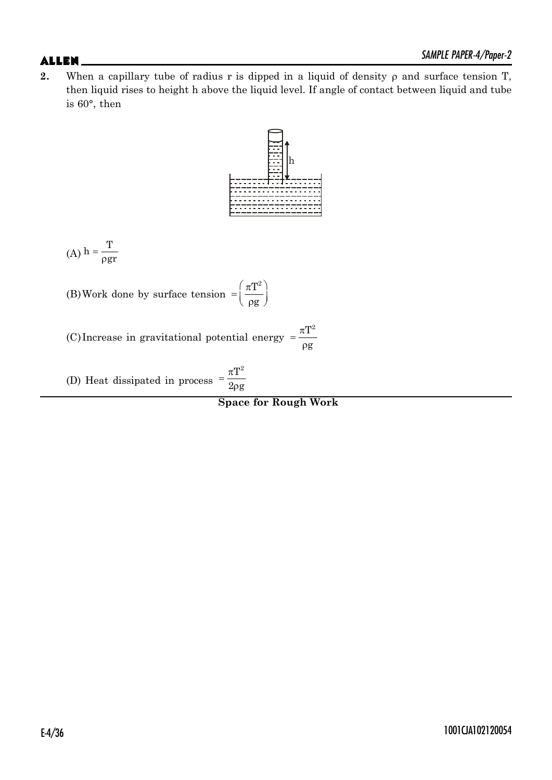**2.** When a capillary tube of radius r is dipped in a liquid of density  $\rho$  and surface tension T, then liquid rises to height h above the liquid level. If angle of contact between liquid and tube is 60°, then



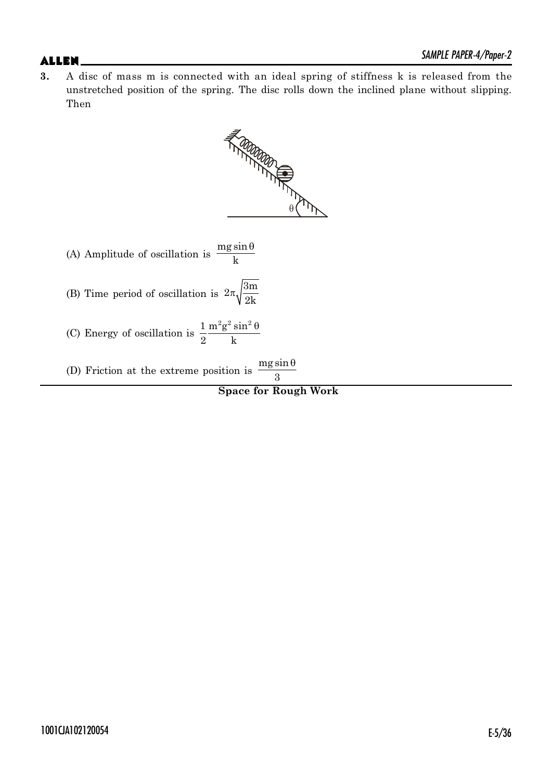**3.** A disc of mass m is connected with an ideal spring of stiffness k is released from the unstretched position of the spring. The disc rolls down the inclined plane without slipping. Then



**Space for Rough Work**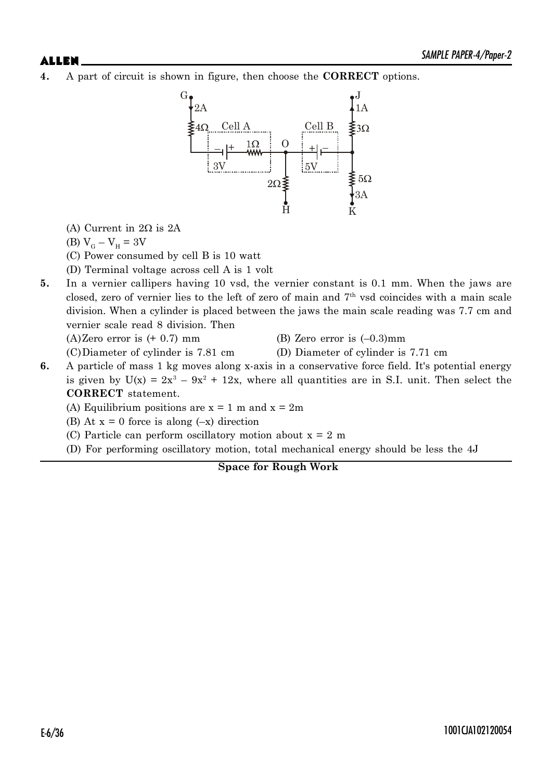**4.** A part of circuit is shown in figure, then choose the **CORRECT** options.



(A) Current in  $2\Omega$  is  $2A$ 

$$
(B) VG - VH = 3V
$$

- (C) Power consumed by cell B is 10 watt
- (D) Terminal voltage across cell A is 1 volt
- **5.** In a vernier callipers having 10 vsd, the vernier constant is 0.1 mm. When the jaws are closed, zero of vernier lies to the left of zero of main and  $7<sup>th</sup>$  vsd coincides with a main scale division. When a cylinder is placed between the jaws the main scale reading was 7.7 cm and vernier scale read 8 division. Then

 $(A)$ Zero error is  $(+ 0.7)$  mm  $(B)$  Zero error is  $(-0.3)$ mm

- 
- (C)Diameter of cylinder is 7.81 cm (D) Diameter of cylinder is 7.71 cm
	-
- **6.** A particle of mass 1 kg moves along x-axis in a conservative force field. It's potential energy is given by  $U(x) = 2x^3 - 9x^2 + 12x$ , where all quantities are in S.I. unit. Then select the **CORRECT** statement.

(A) Equilibrium positions are  $x = 1$  m and  $x = 2m$ 

- (B) At  $x = 0$  force is along  $(-x)$  direction
- (C) Particle can perform oscillatory motion about  $x = 2$  m
- (D) For performing oscillatory motion, total mechanical energy should be less the 4J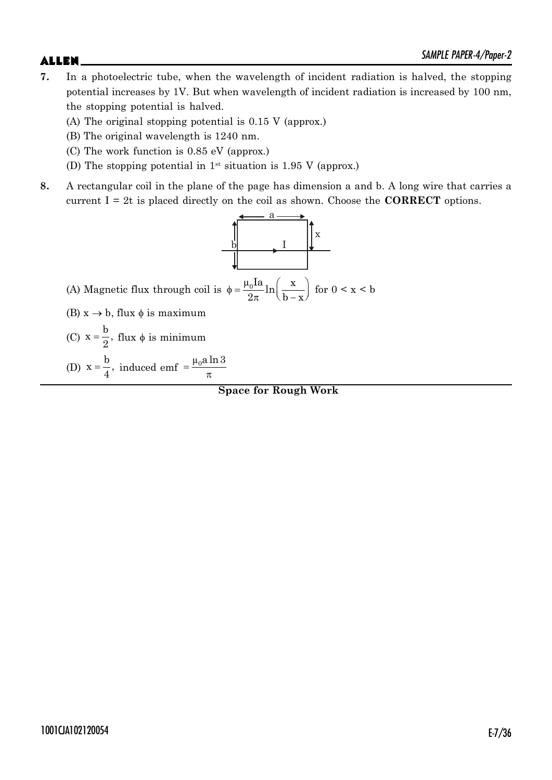- **7.** In a photoelectric tube, when the wavelength of incident radiation is halved, the stopping potential increases by 1V. But when wavelength of incident radiation is increased by 100 nm, the stopping potential is halved.
	- (A) The original stopping potential is 0.15 V (approx.)
	- (B) The original wavelength is 1240 nm.
	- (C) The work function is 0.85 eV (approx.)
	- (D) The stopping potential in  $1^{st}$  situation is 1.95 V (approx.)
- **8.** A rectangular coil in the plane of the page has dimension a and b. A long wire that carries a current I = 2t is placed directly on the coil as shown. Choose the **CORRECT** options.

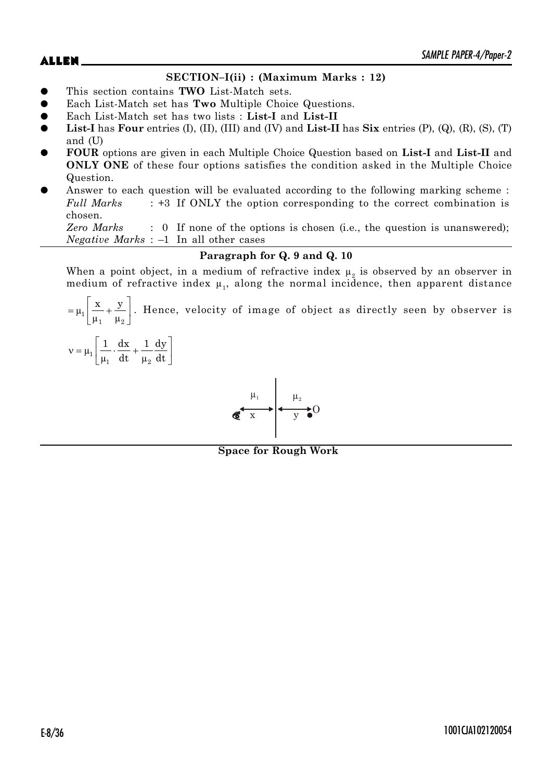$\mathsf{ALLEN}$   $\blacksquare$ 

### **SECTION–I(ii) : (Maximum Marks : 12)**

- z This section contains **TWO** List-Match sets.
- Each List-Match set has **Two** Multiple Choice Questions.
- z Each List-Match set has two lists : **List-I** and **List-II**
- **List-I** has **Four** entries (I), (II), (III) and (IV) and **List-II** has  $\textbf{Six}$  entries (P), (Q), (R), (S), (T) and (U)
- z **FOUR** options are given in each Multiple Choice Question based on **List-I** and **List-II** and **ONLY ONE** of these four options satisfies the condition asked in the Multiple Choice Question.
- Answer to each question will be evaluated according to the following marking scheme : *Full Marks* : +3 If ONLY the option corresponding to the correct combination is chosen.

*Zero Marks* : 0 If none of the options is chosen (i.e., the question is unanswered); *Negative Marks* : –1 In all other cases

### **Paragraph for Q. 9 and Q. 10**

When a point object, in a medium of refractive index  $\mu_2$  is observed by an observer in medium of refractive index  $\mu_1$ , along the normal incidence, then apparent distance

ª º  $= \mu_1 \left[ \frac{A}{\mu_1} + \frac{J}{\mu_2} \right].$  $\mu_1 \Big| \frac{\mathbf{x}}{n} + \frac{\mathbf{y}}{n}$  $\mu_1$   $\mu$ . Hence, velocity of image of object as directly seen by observer is

$$
\nu=\mu_1\Bigg[\frac{1}{\mu_1}\cdot\frac{dx}{dt}+\frac{1}{\mu_2}\frac{dy}{dt}\Bigg]
$$



**Space for Rough Work**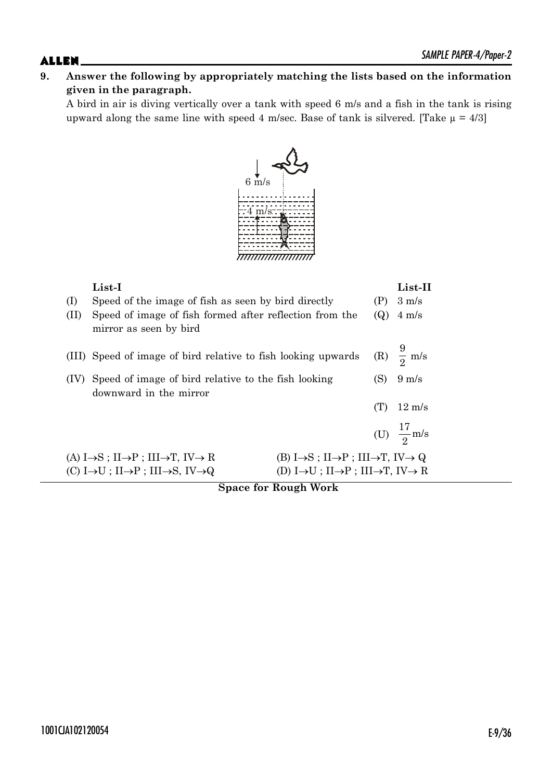# **9. Answer the following by appropriately matching the lists based on the information given in the paragraph.**

A bird in air is diving vertically over a tank with speed 6 m/s and a fish in the tank is rising upward along the same line with speed 4 m/sec. Base of tank is silvered. [Take  $\mu = 4/3$ ]



| (I)<br>(II) | List-I<br>Speed of the image of fish as seen by bird directly<br>Speed of image of fish formed after reflection from the<br>mirror as seen by bird |                                                                                       | (P)<br>(Q) | $List-II$<br>$3 \text{ m/s}$<br>$4 \text{ m/s}$ |
|-------------|----------------------------------------------------------------------------------------------------------------------------------------------------|---------------------------------------------------------------------------------------|------------|-------------------------------------------------|
|             | (III) Speed of image of bird relative to fish looking upwards                                                                                      |                                                                                       |            | (R) $\frac{9}{2}$ m/s                           |
|             | Speed of image of bird relative to the fish looking<br>downward in the mirror                                                                      |                                                                                       | (S)        | $9 \text{ m/s}$                                 |
|             |                                                                                                                                                    |                                                                                       | (T)        | $12 \text{ m/s}$                                |
|             |                                                                                                                                                    |                                                                                       |            | (U) $\frac{17}{2}$ m/s                          |
|             | (A) $I \rightarrow S$ ; $II \rightarrow P$ ; $III \rightarrow T$ , $IV \rightarrow R$                                                              | $(B) I \rightarrow S$ ; $II \rightarrow P$ ; $III \rightarrow T$ , $IV \rightarrow Q$ |            |                                                 |
|             | (C) I $\rightarrow$ U; II $\rightarrow$ P; III $\rightarrow$ S, IV $\rightarrow$ Q                                                                 | (D) $I \rightarrow U$ ; $II \rightarrow P$ ; $III \rightarrow T$ , $IV \rightarrow R$ |            |                                                 |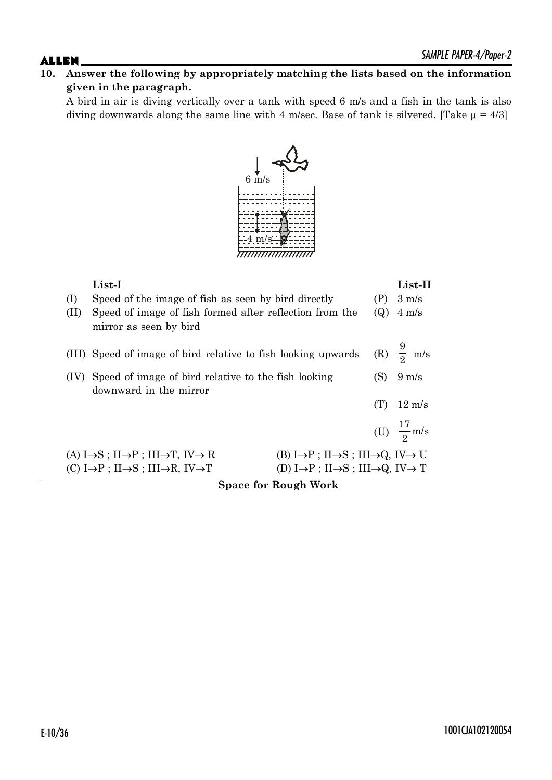# **10. Answer the following by appropriately matching the lists based on the information given in the paragraph.**

A bird in air is diving vertically over a tank with speed 6 m/s and a fish in the tank is also diving downwards along the same line with 4 m/sec. Base of tank is silvered. [Take  $\mu = 4/3$ ]



| (I)<br>(II) | List-I<br>Speed of the image of fish as seen by bird directly<br>Speed of image of fish formed after reflection from the<br>mirror as seen by bird                                                                                                                                                                                                             | (P)<br>(Q) | List-II<br>$3 \text{ m/s}$<br>$4 \text{ m/s}$ |  |
|-------------|----------------------------------------------------------------------------------------------------------------------------------------------------------------------------------------------------------------------------------------------------------------------------------------------------------------------------------------------------------------|------------|-----------------------------------------------|--|
|             | (III) Speed of image of bird relative to fish looking upwards                                                                                                                                                                                                                                                                                                  |            | (R) $\frac{9}{2}$ m/s                         |  |
|             | Speed of image of bird relative to the fish looking                                                                                                                                                                                                                                                                                                            |            |                                               |  |
|             | downward in the mirror                                                                                                                                                                                                                                                                                                                                         | (T)        | $12 \text{ m/s}$                              |  |
|             |                                                                                                                                                                                                                                                                                                                                                                |            | (U) $\frac{17}{2}$ m/s                        |  |
|             | $(B) I \rightarrow P$ ; II $\rightarrow$ S; III $\rightarrow$ Q, IV $\rightarrow$ U<br>(A) $I \rightarrow S$ ; $II \rightarrow P$ ; $III \rightarrow T$ , $IV \rightarrow R$<br>(D) $I \rightarrow P$ ; $II \rightarrow S$ ; $III \rightarrow Q$ , $IV \rightarrow T$<br>(C) $I \rightarrow P$ ; $II \rightarrow S$ ; $III \rightarrow R$ , $IV \rightarrow T$ |            |                                               |  |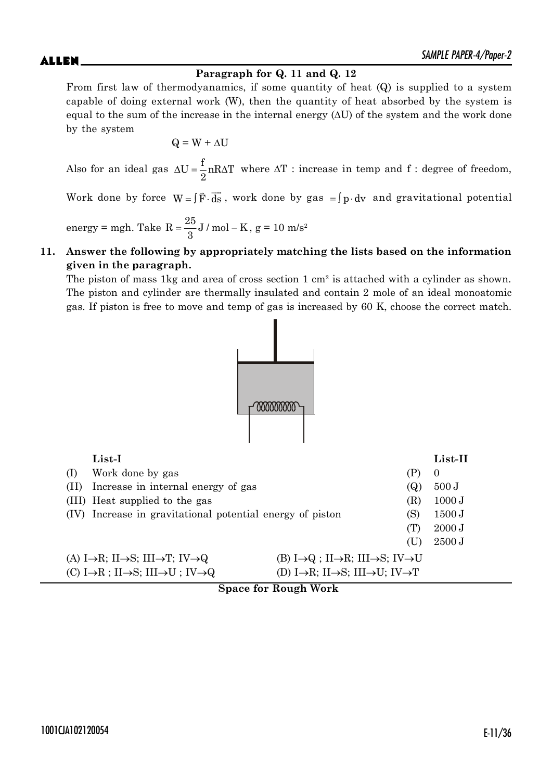# **Paragraph for Q. 11 and Q. 12**

From first law of thermodyanamics, if some quantity of heat (Q) is supplied to a system capable of doing external work (W), then the quantity of heat absorbed by the system is equal to the sum of the increase in the internal energy  $(\Delta U)$  of the system and the work done by the system

$$
Q = W + \Delta U
$$

Also for an ideal gas  $\Delta U = \frac{f}{c} nR\Delta T$ 2  $\Delta U = \frac{1}{2} n R \Delta T$  where  $\Delta T$ : increase in temp and f : degree of freedom,

Work done by force  $W = \int \vec{F} \cdot d\vec{s}$ , work done by gas  $= \int p \cdot dv$  and gravitational potential

energy = mgh. Take  $R = \frac{25}{3}$ J / mol – K 3 ,  $g = 10$  m/s<sup>2</sup>

### **11. Answer the following by appropriately matching the lists based on the information given in the paragraph.**

The piston of mass 1kg and area of cross section 1  $\text{cm}^2$  is attached with a cylinder as shown. The piston and cylinder are thermally insulated and contain 2 mole of an ideal monoatomic gas. If piston is free to move and temp of gas is increased by 60 K, choose the correct match.



|      | $List-I$                                                                           |                                                                                       |     | List-II  |
|------|------------------------------------------------------------------------------------|---------------------------------------------------------------------------------------|-----|----------|
| (1)  | Work done by gas                                                                   |                                                                                       |     | $\theta$ |
| (11) | Increase in internal energy of gas                                                 |                                                                                       | (Q) | 500J     |
|      | (III) Heat supplied to the gas                                                     |                                                                                       | (R) | 1000 J   |
| (IV) | Increase in gravitational potential energy of piston                               |                                                                                       | (S) | 1500 J   |
|      |                                                                                    |                                                                                       | (T) | 2000 J   |
|      |                                                                                    |                                                                                       | (U) | 2500 J   |
|      | (A) I $\rightarrow$ R; II $\rightarrow$ S; III $\rightarrow$ T; IV $\rightarrow$ Q | (B) $I \rightarrow Q$ ; II $\rightarrow R$ ; III $\rightarrow S$ ; IV $\rightarrow U$ |     |          |
|      | (C) I $\rightarrow$ R; II $\rightarrow$ S; III $\rightarrow$ U; IV $\rightarrow$ Q | (D) I $\rightarrow$ R; II $\rightarrow$ S; III $\rightarrow$ U; IV $\rightarrow$ T    |     |          |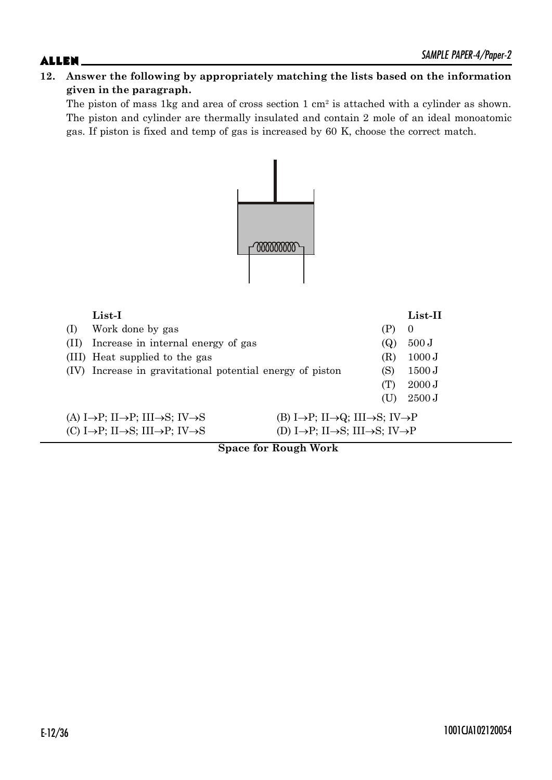# **12. Answer the following by appropriately matching the lists based on the information given in the paragraph.**

The piston of mass 1kg and area of cross section 1 cm<sup>2</sup> is attached with a cylinder as shown. The piston and cylinder are thermally insulated and contain 2 mole of an ideal monoatomic gas. If piston is fixed and temp of gas is increased by 60 K, choose the correct match.



| $List-I$                                                                                                                                                                 |     | List-II  |
|--------------------------------------------------------------------------------------------------------------------------------------------------------------------------|-----|----------|
| Work done by gas<br>(1)                                                                                                                                                  | (P) | $\theta$ |
| Increase in internal energy of gas<br>(11)                                                                                                                               | (Q) | 500J     |
| (III) Heat supplied to the gas                                                                                                                                           | (R) | 1000 J   |
| Increase in gravitational potential energy of piston<br>(IV)                                                                                                             | (S) | 1500 J   |
|                                                                                                                                                                          | (T) | 2000 J   |
|                                                                                                                                                                          | (U) | 2500 J   |
| (A) I $\rightarrow$ P; II $\rightarrow$ P; III $\rightarrow$ S; IV $\rightarrow$ S<br>(B) I $\rightarrow$ P; II $\rightarrow$ Q; III $\rightarrow$ S; IV $\rightarrow$ P |     |          |
| (D) I $\rightarrow$ P; II $\rightarrow$ S; III $\rightarrow$ S; IV $\rightarrow$ P<br>(C) I $\rightarrow$ P; II $\rightarrow$ S; III $\rightarrow$ P; IV $\rightarrow$ S |     |          |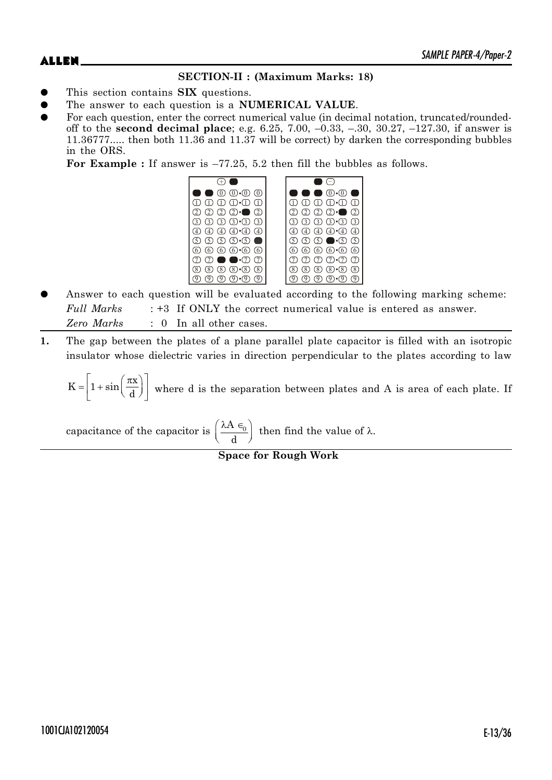# **SECTION-II : (Maximum Marks: 18)**

- This section contains **SIX** questions.
- The answer to each question is a **NUMERICAL VALUE**.
- For each question, enter the correct numerical value (in decimal notation, truncated/roundedoff to the **second decimal place**; e.g. 6.25, 7.00, –0.33, –.30, 30.27, –127.30, if answer is 11.36777..... then both 11.36 and 11.37 will be correct) by darken the corresponding bubbles in the ORS.

**For Example :** If answer is –77.25, 5.2 then fill the bubbles as follows.



- Answer to each question will be evaluated according to the following marking scheme: *Full Marks* : +3 If ONLY the correct numerical value is entered as answer. *Zero Marks* : 0 In all other cases.
- **1.** The gap between the plates of a plane parallel plate capacitor is filled with an isotropic insulator whose dielectric varies in direction perpendicular to the plates according to law

 $K = \frac{1 + \sin \left( \frac{\pi x}{2} \right)}{1 + \sin \left( \frac{\pi x}{2} \right)}$ d  $=\left[1+\sin\left(\frac{\pi x}{d}\right)\right]$  where d is the separation between plates and A is area of each plate. If

capacitance of the capacitor is  $\left(\frac{\lambda A_{\epsilon_0}}{\epsilon_0}\right)^{n}$  $\left(\overline{\phantom{a}\mathrm{d}^{\phantom{a}}}\right)$  $A \in$ d then find the value of  $\lambda$ .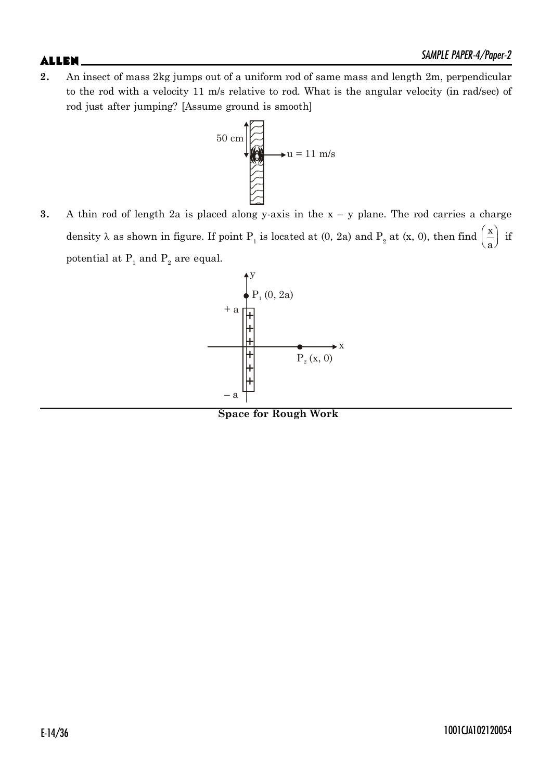**2.** An insect of mass 2kg jumps out of a uniform rod of same mass and length 2m, perpendicular to the rod with a velocity 11 m/s relative to rod. What is the angular velocity (in rad/sec) of rod just after jumping? [Assume ground is smooth]



**3.** A thin rod of length 2a is placed along y-axis in the  $x - y$  plane. The rod carries a charge density  $\lambda$  as shown in figure. If point  $P_1$  is located at (0, 2a) and  $P_2$  at (x, 0), then find  $\left(\frac{x}{a}\right)^2$ a if potential at  $\mathrm{P_{1}}$  and  $\mathrm{P_{2}}$  are equal.



**Space for Rough Work**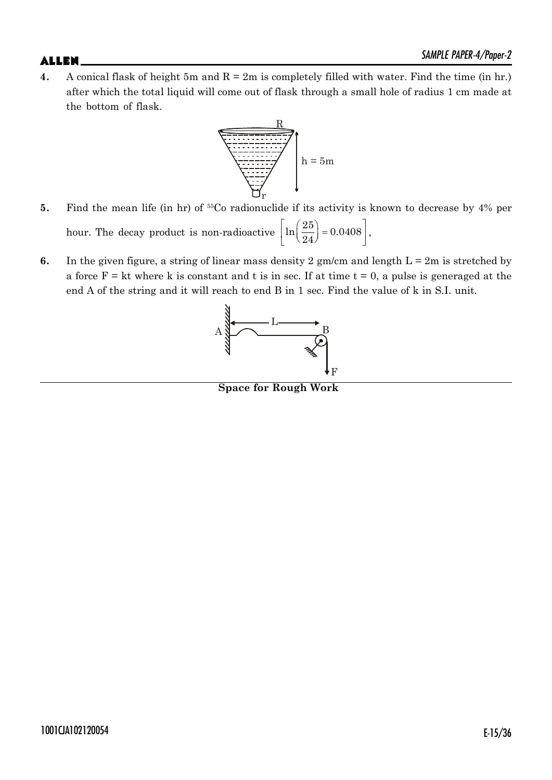**4.** A conical flask of height 5m and  $R = 2m$  is completely filled with water. Find the time (in hr.) after which the total liquid will come out of flask through a small hole of radius 1 cm made at the bottom of flask.



- **5.** Find the mean life (in hr) of <sup>55</sup>Co radionuclide if its activity is known to decrease by 4% per hour. The decay product is non-radioactive  $\left\lfloor \ln \left( \frac{25}{24} \right) \right\rfloor = 0.0408 \right\rfloor$ ,  $\left(\frac{20}{24}\right) = 0.0408$ ,
- **6.** In the given figure, a string of linear mass density 2 gm/cm and length  $L = 2m$  is stretched by a force  $F = kt$  where k is constant and t is in sec. If at time  $t = 0$ , a pulse is generaged at the end A of the string and it will reach to end B in 1 sec. Find the value of k in S.I. unit.



**Space for Rough Work**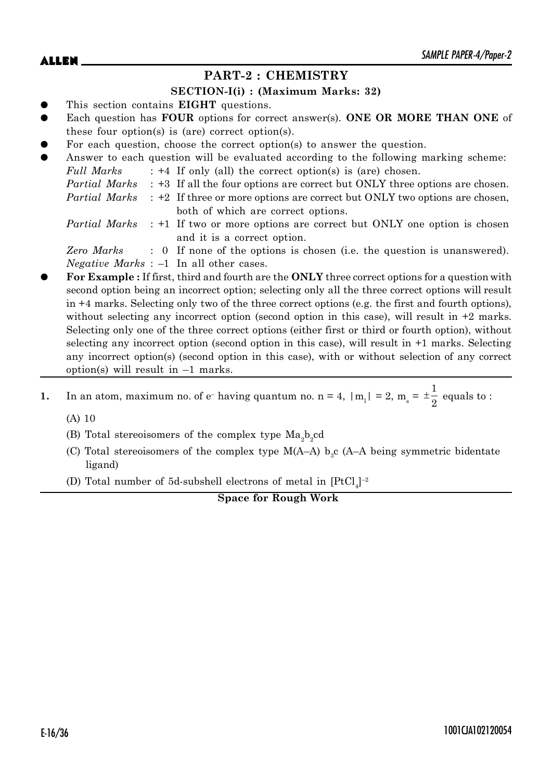# **PART-2 : CHEMISTRY**

### **SECTION-I(i) : (Maximum Marks: 32)**

- This section contains **EIGHT** questions.
- Each question has **FOUR** options for correct answer(s). **ONE OR MORE THAN ONE** of these four option(s) is (are) correct option(s).
- For each question, choose the correct option(s) to answer the question.

| $\bullet$ |            | Answer to each question will be evaluated according to the following marking scheme:             |
|-----------|------------|--------------------------------------------------------------------------------------------------|
|           | Full Marks | $: +4$ If only (all) the correct option(s) is (are) chosen.                                      |
|           |            | <i>Partial Marks</i> : +3 If all the four options are correct but ONLY three options are chosen. |
|           |            | <i>Partial Marks</i> : +2 If three or more options are correct but ONLY two options are chosen,  |
|           |            | both of which are correct options.                                                               |
|           |            | <i>Partial Marks</i> : +1 If two or more options are correct but ONLY one option is chosen       |
|           |            | and it is a correct option.                                                                      |

*Zero Marks* : 0 If none of the options is chosen (i.e. the question is unanswered). *Negative Marks* : –1 In all other cases.

- z **For Example :** If first, third and fourth are the **ONLY** three correct options for a question with second option being an incorrect option; selecting only all the three correct options will result in +4 marks. Selecting only two of the three correct options (e.g. the first and fourth options), without selecting any incorrect option (second option in this case), will result in  $+2$  marks. Selecting only one of the three correct options (either first or third or fourth option), without selecting any incorrect option (second option in this case), will result in +1 marks. Selecting any incorrect option(s) (second option in this case), with or without selection of any correct option(s) will result in  $-1$  marks.
- **1.** In an atom, maximum no. of  $e^-$  having quantum no.  $n = 4$ ,  $|m_1| = 2$ ,  $m_s =$ 1  $\pm \frac{1}{2}$  equals to :

(A) 10

- (B) Total stereoisomers of the complex type  $\text{Ma}_2\text{b}_2$ cd
- (C) Total stereoisomers of the complex type  $M(A-A)$  b<sub>3</sub>c (A–A being symmetric bidentate ligand)
- (D) Total number of 5d-subshell electrons of metal in  $[PtCl_4]^{-2}$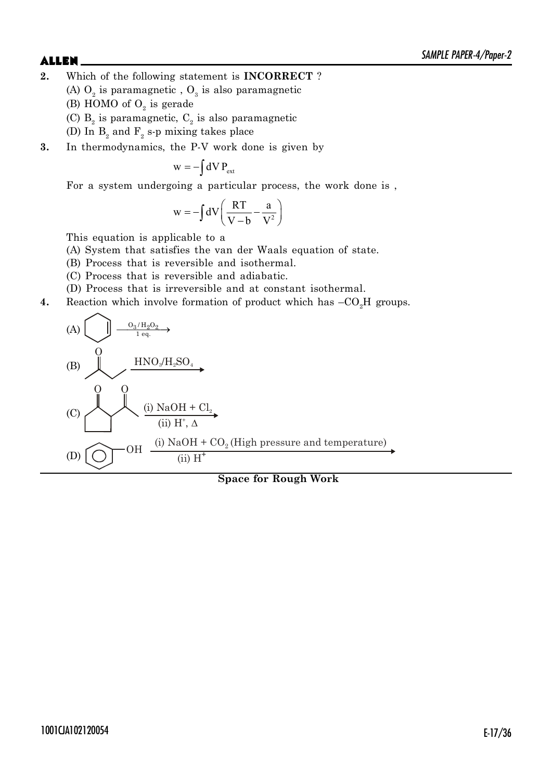- **2.** Which of the following statement is **INCORRECT** ?
	- (A)  $O_2$  is paramagnetic ,  $O_3$  is also paramagnetic
	- (B) HOMO of  $O_2$  is gerade
	- (C)  $B_2$  is paramagnetic,  $C_2$  is also paramagnetic
	- (D) In  $B_2$  and  $F_2$  s-p mixing takes place
- **3.** In thermodynamics, the P-V work done is given by

$$
w = -\int dV P_{ext}
$$

For a system undergoing a particular process, the work done is ,

$$
w = -\int dV \left( \frac{RT}{V - b} - \frac{a}{V^2} \right)
$$

This equation is applicable to a

- (A) System that satisfies the van der Waals equation of state.
- (B) Process that is reversible and isothermal.
- (C) Process that is reversible and adiabatic.
- (D) Process that is irreversible and at constant isothermal.
- **4.** Reaction which involve formation of product which has  $-CO<sub>2</sub>H$  groups.

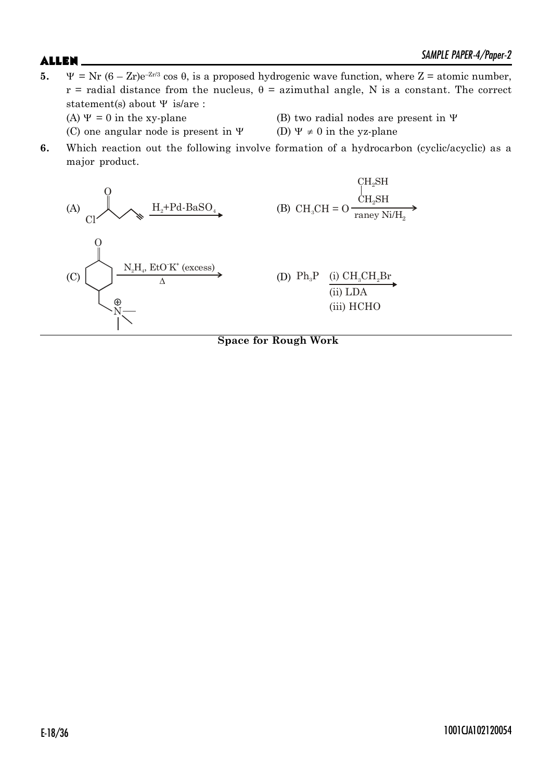- **5.**  $\Psi = \text{Nr } (6 \text{Zr})e^{-\text{Zr/3}} \cos \theta$ , is a proposed hydrogenic wave function, where  $Z = \text{atomic number}$ ,  $r =$  radial distance from the nucleus,  $\theta =$  azimuthal angle, N is a constant. The correct statement(s) about  $\Psi$  is/are : (A)  $\Psi = 0$  in the xy-plane (B) two radial nodes are present in  $\Psi$ 
	- (C) one angular node is present in  $\Psi$  (D)  $\Psi \neq 0$  in the yz-plane
- -
- **6.** Which reaction out the following involve formation of a hydrocarbon (cyclic/acyclic) as a major product.

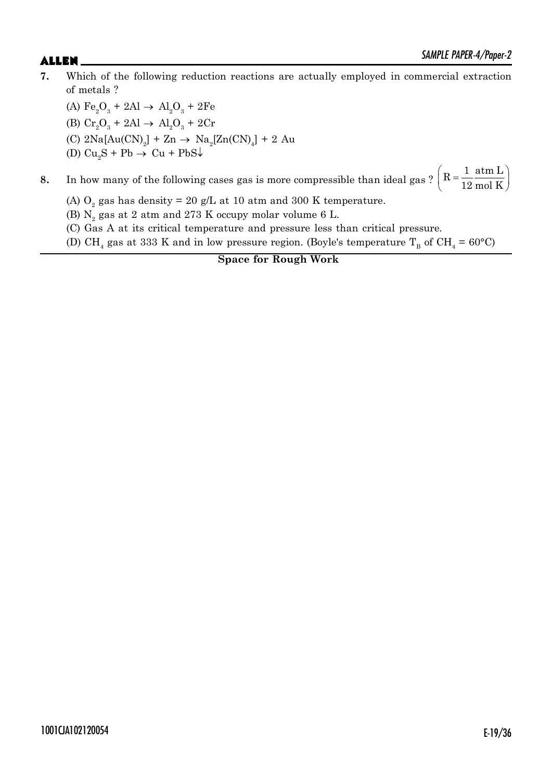**7.** Which of the following reduction reactions are actually employed in commercial extraction of metals ?

(A)  $Fe_2O_3 + 2Al \rightarrow Al_2O_3 + 2Fe$ (B)  $Cr_2O_3 + 2Al \rightarrow Al_2O_3 + 2Cr$ (C)  $2\text{Na}[\text{Au(CN)}_2] + \text{Zn} \rightarrow \text{Na}_2[\text{Zn(CN)}_4] + 2 \text{Au}$ (D)  $\text{Cu}_2\text{S} + \text{Pb} \rightarrow \text{Cu} + \text{PbS}\downarrow$ 

**8.** In how many of the following cases gas is more compressible than ideal gas ?  $\left[ R = \frac{1}{12} \frac{atm}{\text{mol K}} \right]$ 12 mol K  $\left(R = \frac{1}{12} \frac{\text{atm L}}{\text{mol K}}\right)$ 

(A)  $O_2$  gas has density = 20 g/L at 10 atm and 300 K temperature.

(B)  $\mathrm{N}_2$  gas at 2 atm and 273 K occupy molar volume 6 L.

(C) Gas A at its critical temperature and pressure less than critical pressure.

(D) CH<sub>4</sub> gas at 333 K and in low pressure region. (Boyle's temperature T<sub>B</sub> of CH<sub>4</sub> = 60°C)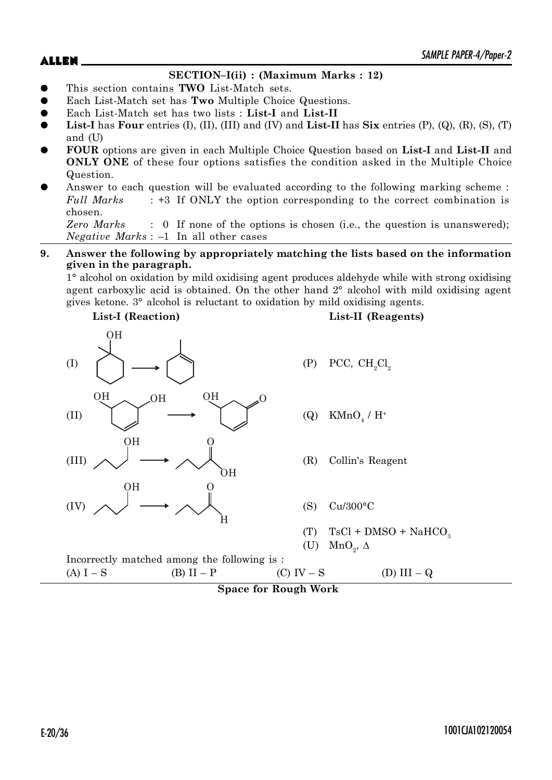$\blacktriangle$ LLEN  $\blacktriangle$ 

# **SECTION–I(ii) : (Maximum Marks : 12)**

- z This section contains **TWO** List-Match sets.
- Each List-Match set has **Two** Multiple Choice Questions.
- z Each List-Match set has two lists : **List-I** and **List-II**
- **List-I** has **Four** entries  $(I)$ ,  $(II)$ ,  $(III)$  and  $(IV)$  and  $List-II$  has  $Six$  entries  $(P)$ ,  $(Q)$ ,  $(R)$ ,  $(S)$ ,  $(T)$ and (U)
- z **FOUR** options are given in each Multiple Choice Question based on **List-I** and **List-II** and **ONLY ONE** of these four options satisfies the condition asked in the Multiple Choice Question.
- Answer to each question will be evaluated according to the following marking scheme : *Full Marks* : +3 If ONLY the option corresponding to the correct combination is chosen.

*Zero Marks* : 0 If none of the options is chosen (i.e., the question is unanswered); *Negative Marks* : –1 In all other cases

### **9. Answer the following by appropriately matching the lists based on the information given in the paragraph.**

1° alcohol on oxidation by mild oxidising agent produces aldehyde while with strong oxidising agent carboxylic acid is obtained. On the other hand 2° alcohol with mild oxidising agent gives ketone. 3° alcohol is reluctant to oxidation by mild oxidising agents.

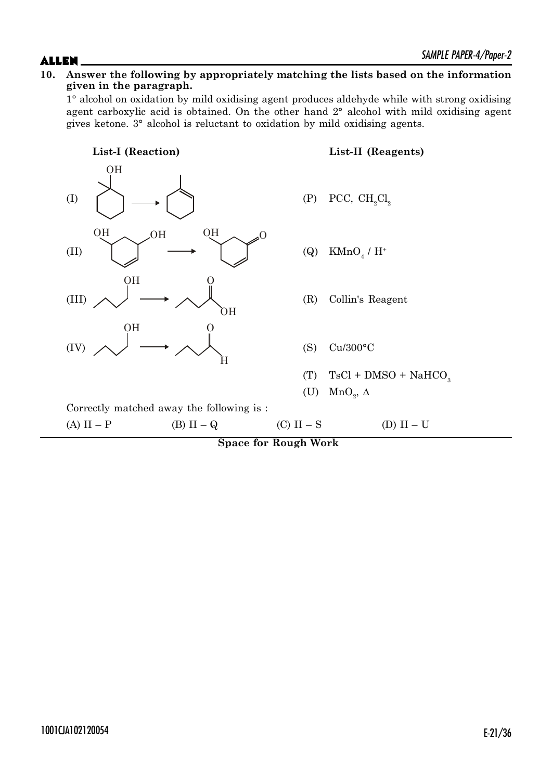### **10. Answer the following by appropriately matching the lists based on the information given in the paragraph.**

1° alcohol on oxidation by mild oxidising agent produces aldehyde while with strong oxidising agent carboxylic acid is obtained. On the other hand 2° alcohol with mild oxidising agent gives ketone. 3° alcohol is reluctant to oxidation by mild oxidising agents.

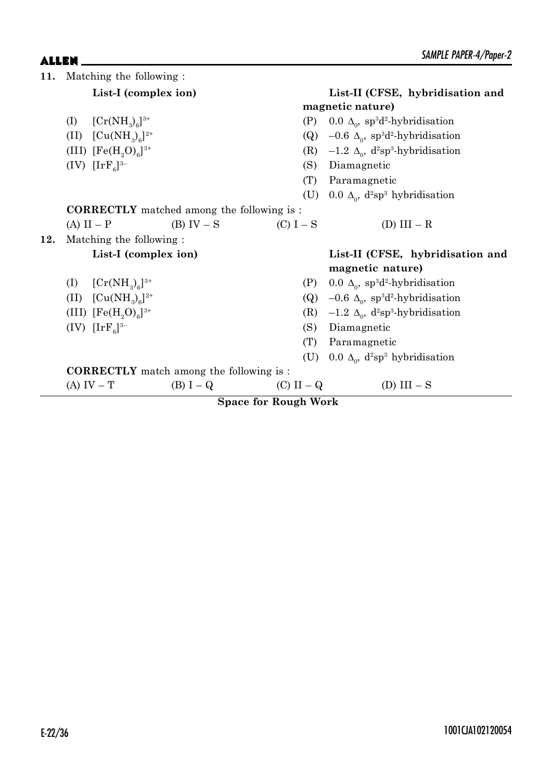| 11. |                         | Matching the following:    |                                                   |                                  |     |                                                                     |
|-----|-------------------------|----------------------------|---------------------------------------------------|----------------------------------|-----|---------------------------------------------------------------------|
|     |                         | List-I (complex ion)       |                                                   | List-II (CFSE, hybridisation and |     |                                                                     |
|     |                         |                            |                                                   |                                  |     | magnetic nature)                                                    |
|     | (I)                     | $[Cr(NH_3)_6]^{3+}$        |                                                   |                                  | (P) | 0.0 $\Delta_0$ , sp <sup>3</sup> d <sup>2</sup> -hybridisation      |
|     |                         | (II) $[Cu(NH_3)_6]^{2+}$   |                                                   |                                  |     | (Q) $-0.6 \Delta_0$ , sp <sup>3</sup> d <sup>2</sup> -hybridisation |
|     |                         | (III) $[Fe(H, O)6]^{3+}$   |                                                   |                                  | (R) | $-1.2 \Delta_0$ , d <sup>2</sup> sp <sup>3</sup> -hybridisation     |
|     |                         | $(IV) [IrFa]^{3-}$         |                                                   |                                  | (S) | Diamagnetic                                                         |
|     |                         |                            |                                                   |                                  | (T) | Paramagnetic                                                        |
|     |                         |                            |                                                   |                                  |     | (U) 0.0 $\Delta_0$ , d <sup>2</sup> sp <sup>3</sup> hybridisation   |
|     |                         |                            | <b>CORRECTLY</b> matched among the following is : |                                  |     |                                                                     |
|     | $(A) II - P$            |                            | $(B) IV - S$<br>$(C) I - S$                       |                                  |     | (D) $III - R$                                                       |
| 12. | Matching the following: |                            |                                                   |                                  |     |                                                                     |
|     |                         | List-I (complex ion)       |                                                   |                                  |     | List-II (CFSE, hybridisation and                                    |
|     |                         |                            |                                                   |                                  |     | magnetic nature)                                                    |
|     |                         | (I) $[Cr(NH_3)_6]^{3+}$    |                                                   |                                  |     | (P) 0.0 $\Delta_0$ , sp <sup>3</sup> d <sup>2</sup> -hybridisation  |
|     |                         | (II) $[Cu(NH_3)6]^{2+}$    |                                                   |                                  |     | (Q) $-0.6 \Delta_0$ , sp <sup>3</sup> d <sup>2</sup> -hybridisation |
|     |                         | (III) $[Fe(H, O)6]^{3+}$   |                                                   |                                  | (R) | $-1.2 \Delta_0$ , d <sup>2</sup> sp <sup>3</sup> -hybridisation     |
|     |                         | (IV) $[\rm{IrF}_{6}]^{3-}$ |                                                   |                                  | (S) | Diamagnetic                                                         |
|     |                         |                            |                                                   |                                  | (T) | Paramagnetic                                                        |
|     |                         |                            |                                                   |                                  |     | (U) 0.0 $\Delta_0$ , d <sup>2</sup> sp <sup>3</sup> hybridisation   |
|     |                         |                            | <b>CORRECTLY</b> match among the following is :   |                                  |     |                                                                     |
|     |                         | $(A) IV - T$               | $(B) I - Q$                                       | (C) II – $Q$                     |     | (D) $III - S$                                                       |
|     |                         |                            |                                                   | <b>Space for Rough Work</b>      |     |                                                                     |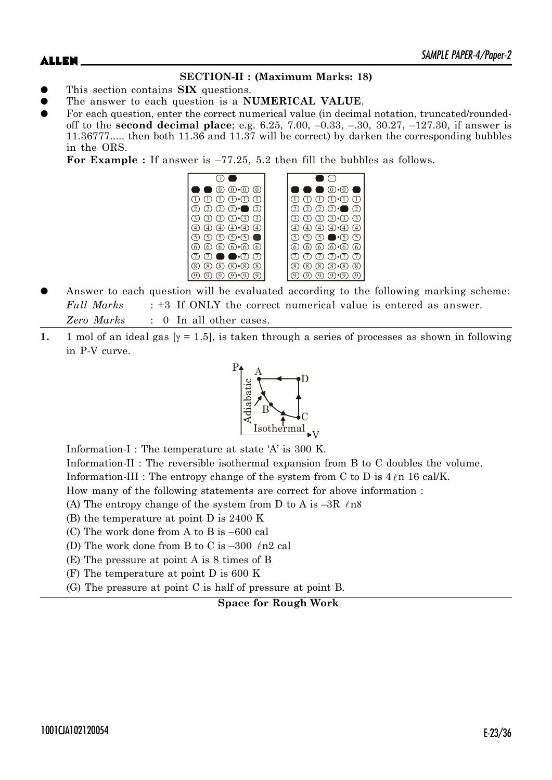## **SECTION-II : (Maximum Marks: 18)**

- This section contains **SIX** questions.
- The answer to each question is a **NUMERICAL VALUE**.
- For each question, enter the correct numerical value (in decimal notation, truncated/roundedoff to the **second decimal place**; e.g. 6.25, 7.00, –0.33, –.30, 30.27, –127.30, if answer is 11.36777..... then both 11.36 and 11.37 will be correct) by darken the corresponding bubbles in the ORS.

**For Example :** If answer is –77.25, 5.2 then fill the bubbles as follows.



- Answer to each question will be evaluated according to the following marking scheme: *Full Marks* : +3 If ONLY the correct numerical value is entered as answer. *Zero Marks* : 0 In all other cases.
- **1.** 1 mol of an ideal gas  $[\gamma = 1.5]$ , is taken through a series of processes as shown in following in P-V curve.



Information-I : The temperature at state 'A' is 300 K.

Information-II : The reversible isothermal expansion from B to C doubles the volume.

Information-III : The entropy change of the system from C to D is  $4 \ell n 16$  cal/K.

How many of the following statements are correct for above information :

- (A) The entropy change of the system from D to A is  $-3R$   $\ell$ n8
- (B) the temperature at point D is 2400 K
- (C) The work done from A to B is –600 cal
- (D) The work done from B to C is  $-300$  (n2 cal
- (E) The pressure at point A is 8 times of B
- (F) The temperature at point D is 600 K
- (G) The pressure at point C is half of pressure at point B.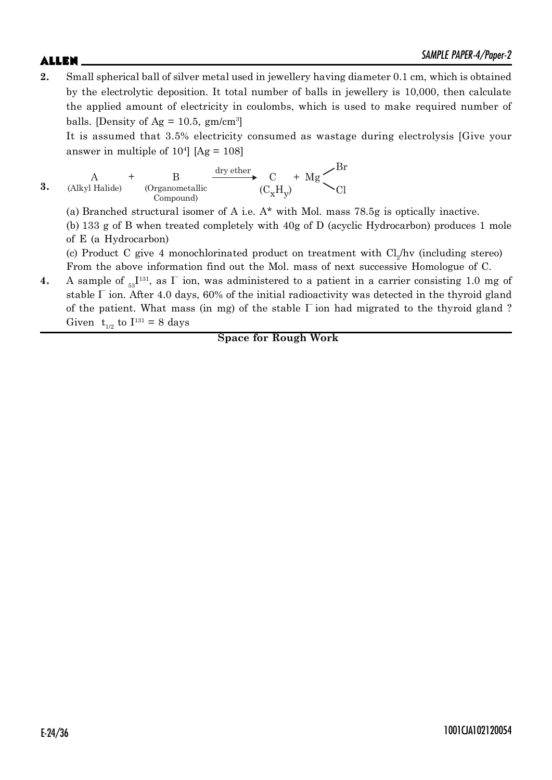# $\blacktriangle$ LLEN  $\blacktriangle$

**2.** Small spherical ball of silver metal used in jewellery having diameter 0.1 cm, which is obtained by the electrolytic deposition. It total number of balls in jewellery is 10,000, then calculate the applied amount of electricity in coulombs, which is used to make required number of balls. [Density of  $Ag = 10.5$ ,  $gm/cm^3$ ]

It is assumed that 3.5% electricity consumed as wastage during electrolysis [Give your answer in multiple of  $10^4$  [Ag =  $108$ ]

**3.** A (Alkyl Halide) B (Organometallic Compound)  $+$  B  $\frac{a_1 \times b_1 c_1}{c}$  C + Mg  $(C_{x}H_{y})$ Br Cl dry ether

(a) Branched structural isomer of A i.e. A\* with Mol. mass 78.5g is optically inactive.

(b) 133 g of B when treated completely with 40g of D (acyclic Hydrocarbon) produces 1 mole of E (a Hydrocarbon)

(c) Product C give 4 monochlorinated product on treatment with  $Cl_2/hv$  (including stereo) From the above information find out the Mol. mass of next successive Homologue of C.

**4.** A sample of  $_{53}I^{131}$ , as  $\Gamma$  ion, was administered to a patient in a carrier consisting 1.0 mg of stable  $\Gamma$  ion. After 4.0 days, 60% of the initial radioactivity was detected in the thyroid gland of the patient. What mass (in mg) of the stable I– ion had migrated to the thyroid gland ? Given  $t_{1/2}$  to  $I^{131} = 8$  days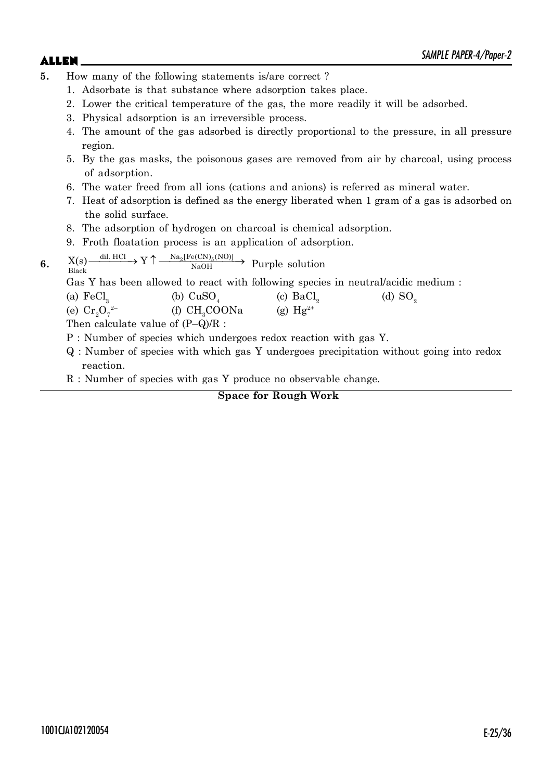- **5.** How many of the following statements is/are correct ?
	- 1. Adsorbate is that substance where adsorption takes place.
	- 2. Lower the critical temperature of the gas, the more readily it will be adsorbed.
	- 3. Physical adsorption is an irreversible process.
	- 4. The amount of the gas adsorbed is directly proportional to the pressure, in all pressure region.
	- 5. By the gas masks, the poisonous gases are removed from air by charcoal, using process of adsorption.
	- 6. The water freed from all ions (cations and anions) is referred as mineral water.
	- 7. Heat of adsorption is defined as the energy liberated when 1 gram of a gas is adsorbed on the solid surface.
	- 8. The adsorption of hydrogen on charcoal is chemical adsorption.
	- 9. Froth floatation process is an application of adsorption.

**6.** 
$$
X(s) \xrightarrow{\text{dil. HCl}} Y \uparrow \xrightarrow{\text{Na}_2[Fe(CN)_5(NO)]} Purple solution
$$

Gas Y has been allowed to react with following species in neutral/acidic medium :

| (a) $\text{FeCl}_3$ | (b) $CuSO4$    | (c) $BaCl2$   | (d) $SO2$ |
|---------------------|----------------|---------------|-----------|
| (e) $Cr_2O_7^{2-}$  | (f) $CH3COONa$ | (g) $Hg^{2+}$ |           |
| $-1$                |                |               |           |

Then calculate value of (P–Q)/R :

P : Number of species which undergoes redox reaction with gas Y.

- Q : Number of species with which gas Y undergoes precipitation without going into redox reaction.
- R : Number of species with gas Y produce no observable change.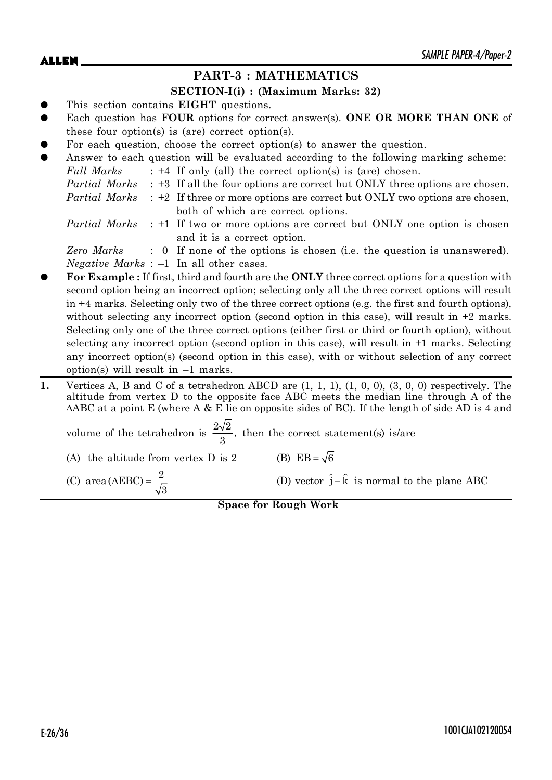# **PART-3 : MATHEMATICS**

### **SECTION-I(i) : (Maximum Marks: 32)**

- This section contains **EIGHT** questions.
- Each question has **FOUR** options for correct answer(s). **ONE OR MORE THAN ONE** of these four option(s) is (are) correct option(s).
- For each question, choose the correct option(s) to answer the question.

| $\bullet$ |            | Answer to each question will be evaluated according to the following marking scheme:             |
|-----------|------------|--------------------------------------------------------------------------------------------------|
|           | Full Marks | $: +4$ If only (all) the correct option(s) is (are) chosen.                                      |
|           |            | <i>Partial Marks</i> : +3 If all the four options are correct but ONLY three options are chosen. |
|           |            | <i>Partial Marks</i> : +2 If three or more options are correct but ONLY two options are chosen,  |
|           |            | both of which are correct options.                                                               |
|           |            | $Partial Marko \rightarrow 1$ If two or more entiance are correct but ONIV and entian is chosen  |

*Partial Marks* or more options are correct but ONLY one option is chosen and it is a correct option.

*Zero Marks* : 0 If none of the options is chosen (i.e. the question is unanswered). *Negative Marks* : –1 In all other cases.

- z **For Example :** If first, third and fourth are the **ONLY** three correct options for a question with second option being an incorrect option; selecting only all the three correct options will result in +4 marks. Selecting only two of the three correct options (e.g. the first and fourth options), without selecting any incorrect option (second option in this case), will result in  $+2$  marks. Selecting only one of the three correct options (either first or third or fourth option), without selecting any incorrect option (second option in this case), will result in +1 marks. Selecting any incorrect option(s) (second option in this case), with or without selection of any correct option(s) will result in  $-1$  marks.
- **1.** Vertices A, B and C of a tetrahedron ABCD are (1, 1, 1), (1, 0, 0), (3, 0, 0) respectively. The altitude from vertex D to the opposite face ABC meets the median line through A of the  $\triangle$ ABC at a point E (where A & E lie on opposite sides of BC). If the length of side AD is 4 and volume of the tetrahedron is  $\frac{2\sqrt{2}}{2}$ , then the correct statement(s) is/are

| (A) the altitude from vertex $D$ is $2$             | (B) $EB = \sqrt{6}$                                       |
|-----------------------------------------------------|-----------------------------------------------------------|
| (C) area ( $\triangle EBC$ ) = $\frac{2}{\sqrt{3}}$ | (D) vector $\hat{j} - \hat{k}$ is normal to the plane ABC |

3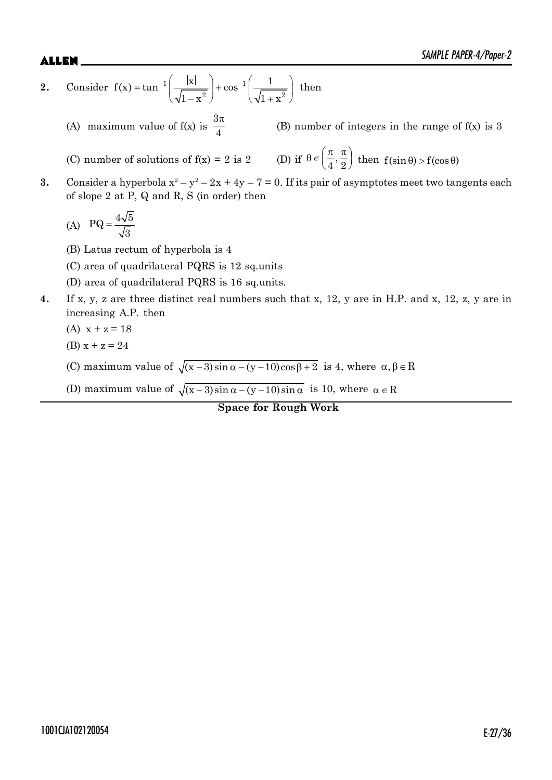2. Consider 
$$
f(x) = \tan^{-1}\left(\frac{|x|}{\sqrt{1-x^2}}\right) + \cos^{-1}\left(\frac{1}{\sqrt{1+x^2}}\right)
$$
 then

(A) maximum value of  $f(x)$  is  $3\pi$ 4 (B) number of integers in the range of f(x) is 3

(C) number of solutions of  $f(x) = 2$  is  $2$ (D) if  $\theta \in \left(\frac{\pi}{4}, \frac{\pi}{2}\right)$  then  $f(\sin \theta) > f(\cos \theta)$ 

**3.** Consider a hyperbola  $x^2 - y^2 - 2x + 4y - 7 = 0$ . If its pair of asymptotes meet two tangents each of slope 2 at P, Q and R, S (in order) then

$$
(A) \quad PQ = \frac{4\sqrt{5}}{\sqrt{3}}
$$

- (B) Latus rectum of hyperbola is 4
- (C) area of quadrilateral PQRS is 12 sq.units
- (D) area of quadrilateral PQRS is 16 sq.units.
- **4.** If x, y, z are three distinct real numbers such that x, 12, y are in H.P. and x, 12, z, y are in increasing A.P. then
	- (A)  $x + z = 18$
	- (B)  $x + z = 24$
	- (C) maximum value of  $\sqrt{(x-3)\sin\alpha (y-10)\cos\beta + 2}$  is 4, where  $\alpha, \beta \in \mathbb{R}$
	- (D) maximum value of  $\sqrt{(x-3)\sin\alpha (y-10)\sin\alpha}$  is 10, where  $\alpha \in \mathbb{R}$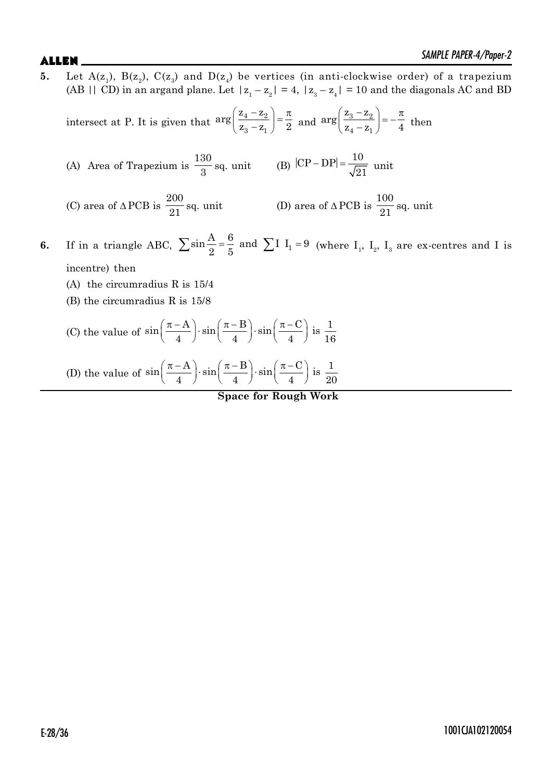**5.** Let  $A(z_1)$ ,  $B(z_2)$ ,  $C(z_3)$  and  $D(z_4)$  be vertices (in anti-clockwise order) of a trapezium (AB || CD) in an argand plane. Let  $|z_1 - z_2| = 4$ ,  $|z_3 - z_4| = 10$  and the diagonals AC and BD intersect at P. It is given that  $\left(\frac{z_4-z_2}{z-z}\right)=\frac{\pi}{2}$  $\left( z_3 - z_1 \right)$  $_4 - 2$  $3 - z_1$  $\arg\left(\frac{z_4 - z_2}{z_3 - z_1}\right) = \frac{\pi}{2}$  and  $\arg\left(\frac{z_3 - z_2}{z_4 - z_1}\right)$  $arg\left(\frac{z_3-z_1}{z_3}\right)$  $z_4 - z_1$  4  $\left(\frac{z_3 - z_2}{z_4 - z_1}\right) = -\frac{\pi}{4}$  then (A) Area of Trapezium is 130  $\frac{30}{3}$  sq. unit (B)  $|CP - DP| = \frac{10}{\sqrt{2}}$  $\overline{21}$  unit (C) area of  $\triangle$  PCB is 200  $\frac{200}{21}$  sq. unit (D) area of  $\triangle$  PCB is 100  $\frac{200}{21}$  sq. unit **6.** If in a triangle ABC,  $\sum \sin \frac{A}{2} = \frac{6}{5}$  and  $\sum I I_1 = 9$  (where  $I_1$ ,  $I_2$ ,  $I_3$  are ex-centres and I is incentre) then (A) the circumradius R is 15/4 (B) the circumradius R is 15/8 (C) the value of  $\sin\left(\frac{\pi-A}{4}\right) \cdot \sin\left(\frac{\pi-B}{4}\right) \cdot \sin\left(\frac{\pi-C}{4}\right)$  is  $\frac{1}{16}$  $\left(\frac{\pi - A}{4}\right) \cdot \sin\left(\frac{\pi - B}{4}\right) \cdot \sin\left(\frac{\pi - C}{4}\right)$  is  $\frac{1}{16}$ (D) the value of  $\sin\left(\frac{\pi-A}{4}\right) \cdot \sin\left(\frac{\pi-B}{4}\right) \cdot \sin\left(\frac{\pi-C}{4}\right)$  is  $\frac{1}{2}$  $\left(\frac{\pi - A}{4}\right) \cdot \sin\left(\frac{\pi - B}{4}\right) \cdot \sin\left(\frac{\pi - C}{4}\right)$  is  $\frac{1}{20}$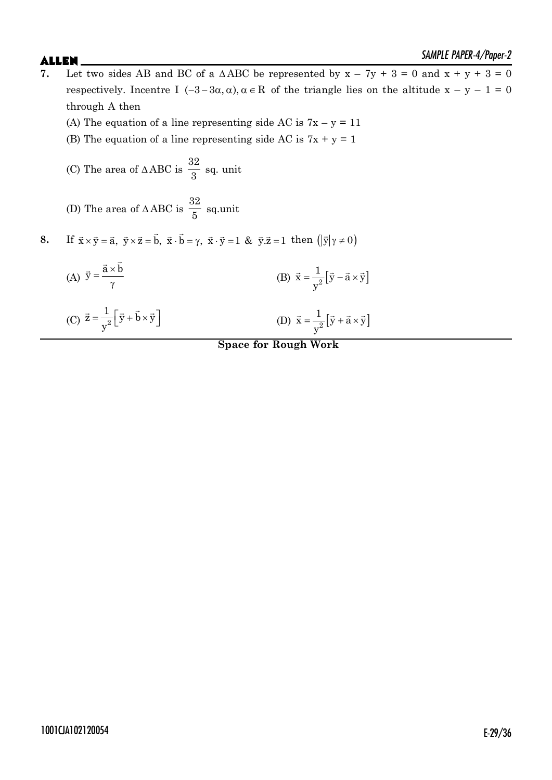- $\blacktriangle$ LLEN  $\blacktriangle$ **7.** Let two sides AB and BC of a  $\triangle ABC$  be represented by  $x - 7y + 3 = 0$  and  $x + y + 3 = 0$ respectively. Incentre I  $(-3-3\alpha, \alpha)$ ,  $\alpha \in \mathbb{R}$  of the triangle lies on the altitude  $x - y - 1 = 0$ through A then
	- (A) The equation of a line representing side AC is  $7x y = 11$
	- (B) The equation of a line representing side AC is  $7x + y = 1$
	- (C) The area of  $\triangle$  ABC is 32  $\frac{3}{3}$  sq. unit
	- (D) The area of  $\triangle$  ABC is 32  $\frac{5}{5}$  sq.unit

**8.** If  $\vec{x} \times \vec{y} = \vec{a}$ ,  $\vec{y} \times \vec{z} = \vec{b}$ ,  $\vec{x} \cdot \vec{b} = \gamma$ ,  $\vec{x} \cdot \vec{y} = 1$  &  $\vec{y} \cdot \vec{z} = 1$  then  $(|\vec{y}|\gamma \neq 0)$ 

(A) 
$$
\vec{y} = \frac{\vec{a} \times \vec{b}}{\gamma}
$$
 (B)  $\vec{x} = \frac{1}{y^2} [\vec{y} - \vec{a} \times \vec{y}]$ 

(C) 
$$
\vec{z} = \frac{1}{y^2} \left[ \vec{y} + \vec{b} \times \vec{y} \right]
$$
 (D)  $\vec{x} = \frac{1}{y^2} \left[ \vec{y} + \vec{a} \times \vec{y} \right]$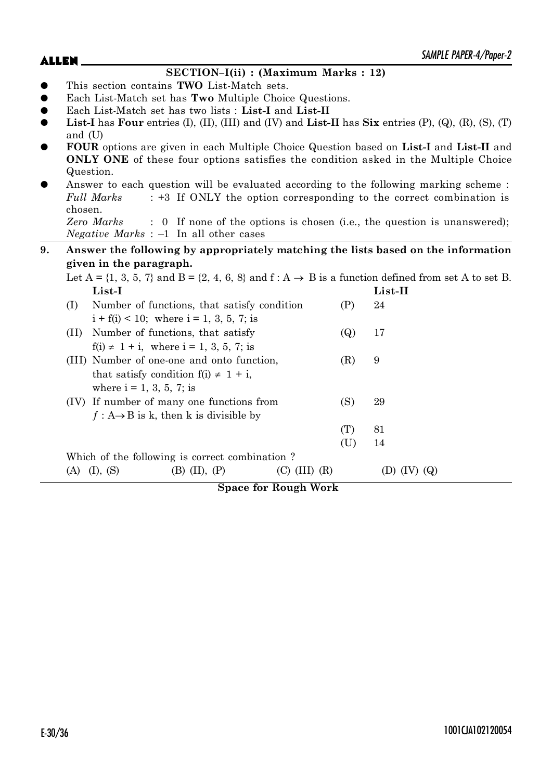## **SECTION–I(ii) : (Maximum Marks : 12)** z This section contains **TWO** List-Match sets. z Each List-Match set has **Two** Multiple Choice Questions. z Each List-Match set has two lists : **List-I** and **List-II List-I** has **Four** entries  $(I)$ ,  $(II)$ ,  $(III)$  and  $(IV)$  and  $List-II$  has  $Six$  entries  $(P)$ ,  $(Q)$ ,  $(R)$ ,  $(S)$ ,  $(T)$ and (U) z **FOUR** options are given in each Multiple Choice Question based on **List-I** and **List-II** and **ONLY ONE** of these four options satisfies the condition asked in the Multiple Choice Question. Answer to each question will be evaluated according to the following marking scheme : *Full Marks* : +3 If ONLY the option corresponding to the correct combination is chosen. *Zero Marks* : 0 If none of the options is chosen (i.e., the question is unanswered); *Negative Marks* : –1 In all other cases **9. Answer the following by appropriately matching the lists based on the information given in the paragraph.** Let  $A = \{1, 3, 5, 7\}$  and  $B = \{2, 4, 6, 8\}$  and  $f : A \rightarrow B$  is a function defined from set A to set B. **List-I List-II** (I) Number of functions, that satisfy condition (P) 24  $i + f(i) < 10$ ; where  $i = 1, 3, 5, 7$ ; is (II) Number of functions, that satisfy (Q) 17  $f(i) \neq 1 + i$ , where  $i = 1, 3, 5, 7$ ; is (III) Number of one-one and onto function, (R) 9 that satisfy condition  $f(i) \neq 1 + i$ , where  $i = 1, 3, 5, 7$ ; is (IV) If number of many one functions from (S) 29  $f : A \rightarrow B$  is k, then k is divisible by (T) 81 (U) 14 Which of the following is correct combination ? (A) (I), (S) (B) (II), (P) (C) (III) (R) (D) (IV) (Q)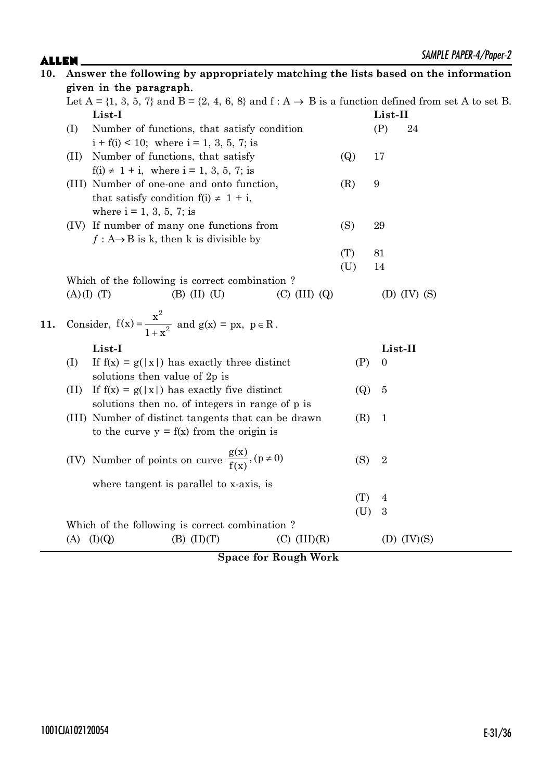| 10. |                         | Answer the following by appropriately matching the lists based on the information                                      |                   |                  |                  |  |  |  |  |
|-----|-------------------------|------------------------------------------------------------------------------------------------------------------------|-------------------|------------------|------------------|--|--|--|--|
|     | given in the paragraph. |                                                                                                                        |                   |                  |                  |  |  |  |  |
|     |                         | Let $A = \{1, 3, 5, 7\}$ and $B = \{2, 4, 6, 8\}$ and $f : A \rightarrow B$ is a function defined from set A to set B. |                   |                  |                  |  |  |  |  |
|     |                         | List-I                                                                                                                 |                   | List-II          |                  |  |  |  |  |
|     | (I)                     | Number of functions, that satisfy condition                                                                            |                   | (P)              | 24               |  |  |  |  |
|     |                         | $i + f(i) < 10$ ; where $i = 1, 3, 5, 7$ ; is                                                                          |                   |                  |                  |  |  |  |  |
|     | (II)                    | Number of functions, that satisfy                                                                                      | $\left( Q\right)$ | 17               |                  |  |  |  |  |
|     |                         | $f(i) \neq 1 + i$ , where $i = 1, 3, 5, 7$ ; is                                                                        |                   |                  |                  |  |  |  |  |
|     |                         | (III) Number of one-one and onto function,                                                                             | (R)               | 9                |                  |  |  |  |  |
|     |                         | that satisfy condition $f(i) \neq 1 + i$ ,                                                                             |                   |                  |                  |  |  |  |  |
|     |                         | where $i = 1, 3, 5, 7$ ; is                                                                                            |                   |                  |                  |  |  |  |  |
|     |                         | (IV) If number of many one functions from                                                                              | (S)               | 29               |                  |  |  |  |  |
|     |                         | $f: A \rightarrow B$ is k, then k is divisible by                                                                      |                   |                  |                  |  |  |  |  |
|     |                         |                                                                                                                        | (T)               | 81               |                  |  |  |  |  |
|     |                         |                                                                                                                        | (U)               | 14               |                  |  |  |  |  |
|     |                         | Which of the following is correct combination?                                                                         |                   |                  |                  |  |  |  |  |
|     |                         | $(B)$ (II) (U)<br>$(C)$ (III) $(Q)$<br>(A)(I)(T)                                                                       |                   |                  | (D) $(IV)$ $(S)$ |  |  |  |  |
| 11. |                         | Consider, $f(x) = \frac{x^2}{1 + x^2}$ and $g(x) = px$ , $p \in R$ .                                                   |                   |                  |                  |  |  |  |  |
|     |                         | List-I                                                                                                                 |                   |                  | List-II          |  |  |  |  |
|     | (I)                     | If $f(x) = g( x )$ has exactly three distinct                                                                          | (P)               | $\boldsymbol{0}$ |                  |  |  |  |  |
|     |                         | solutions then value of 2p is                                                                                          |                   |                  |                  |  |  |  |  |
|     | (II)                    | If $f(x) = g( x )$ has exactly five distinct                                                                           | $\left( Q\right)$ | $\overline{5}$   |                  |  |  |  |  |
|     |                         | solutions then no. of integers in range of p is                                                                        |                   |                  |                  |  |  |  |  |
|     |                         | (III) Number of distinct tangents that can be drawn                                                                    | (R)               | $\mathbf{1}$     |                  |  |  |  |  |
|     |                         | to the curve $y = f(x)$ from the origin is                                                                             |                   |                  |                  |  |  |  |  |
|     |                         |                                                                                                                        |                   |                  |                  |  |  |  |  |
|     |                         | (IV) Number of points on curve $\frac{g(x)}{f(x)}$ , $(p \neq 0)$                                                      | (S)               | $\overline{2}$   |                  |  |  |  |  |
|     |                         | where tangent is parallel to x-axis, is                                                                                |                   |                  |                  |  |  |  |  |
|     |                         |                                                                                                                        | (T)               | $\overline{4}$   |                  |  |  |  |  |
|     |                         |                                                                                                                        | (U)               | 3                |                  |  |  |  |  |
|     |                         | Which of the following is correct combination?                                                                         |                   |                  |                  |  |  |  |  |
|     |                         | $(A)$ $(I)(Q)$<br>$(B)$ $(II)(T)$<br>$(C)$ $(III)(R)$                                                                  |                   |                  | (D) $(IV)(S)$    |  |  |  |  |
|     |                         |                                                                                                                        |                   |                  |                  |  |  |  |  |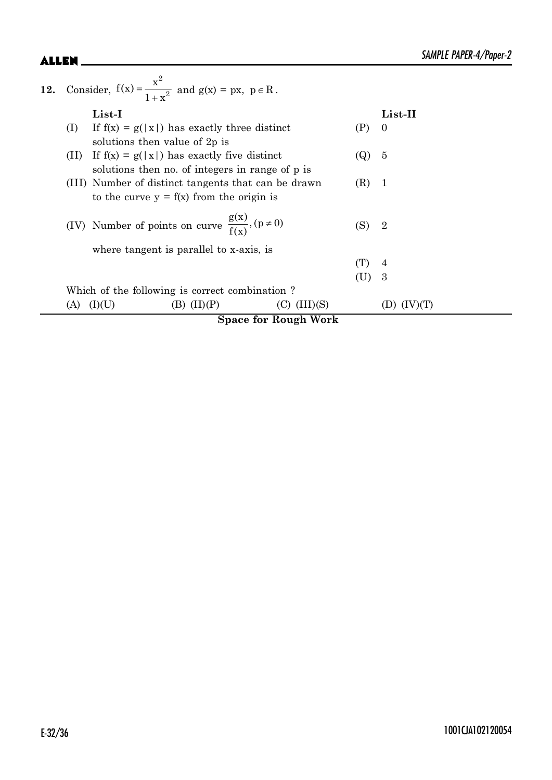| 12. |                                                                                                          | Consider, $f(x) = \frac{x^2}{1 + x^2}$ and $g(x) = px$ , $p \in R$ .                            |                 |                  |     |                |
|-----|----------------------------------------------------------------------------------------------------------|-------------------------------------------------------------------------------------------------|-----------------|------------------|-----|----------------|
|     |                                                                                                          | $List-I$                                                                                        |                 |                  |     | List-II        |
|     | (I)                                                                                                      | If $f(x) = g( x )$ has exactly three distinct<br>solutions then value of 2p is                  |                 |                  | (P) | $\theta$       |
|     | (11)                                                                                                     | If $f(x) = g( x )$ has exactly five distinct<br>solutions then no. of integers in range of p is | 5               |                  |     |                |
|     | (III) Number of distinct tangents that can be drawn<br>(R)<br>to the curve $y = f(x)$ from the origin is |                                                                                                 |                 |                  |     | - 1            |
|     |                                                                                                          | (IV) Number of points on curve $\frac{g(x)}{f(x)}$ , $(p \neq 0)$                               |                 |                  | (S) | $\overline{2}$ |
|     |                                                                                                          | where tangent is parallel to x-axis, is                                                         |                 |                  |     |                |
|     |                                                                                                          |                                                                                                 | (T)             | 4                |     |                |
|     |                                                                                                          |                                                                                                 | (U)             | 3                |     |                |
|     |                                                                                                          | Which of the following is correct combination?                                                  |                 |                  |     |                |
|     | (A)                                                                                                      | (L)(U)                                                                                          | $(B)$ $(II)(P)$ | $(C)$ $(III)(S)$ |     |                |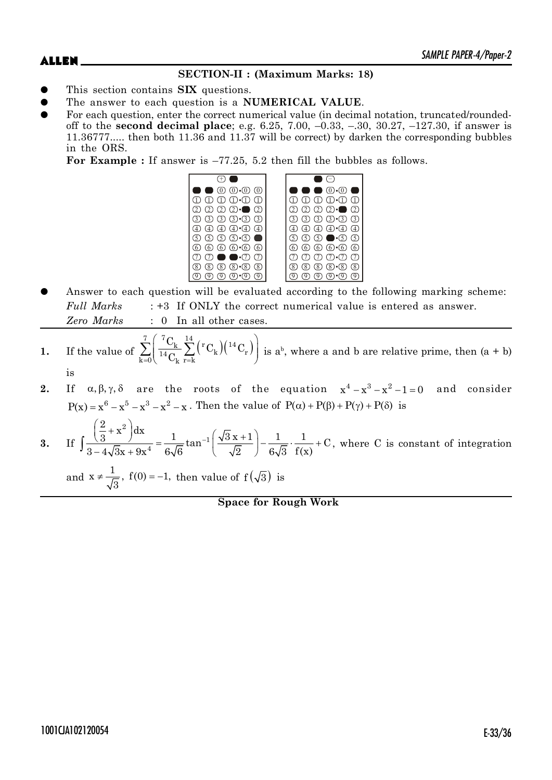# **SECTION-II : (Maximum Marks: 18)**

- This section contains **SIX** questions.
- The answer to each question is a **NUMERICAL VALUE**.
- For each question, enter the correct numerical value (in decimal notation, truncated/roundedoff to the **second decimal place**; e.g. 6.25, 7.00, –0.33, –.30, 30.27, –127.30, if answer is 11.36777..... then both 11.36 and 11.37 will be correct) by darken the corresponding bubbles in the ORS.

**For Example :** If answer is –77.25, 5.2 then fill the bubbles as follows.



Answer to each question will be evaluated according to the following marking scheme: *Full Marks* : +3 If ONLY the correct numerical value is entered as answer. *Zero Marks* : 0 In all other cases.

1. If the value of 
$$
\sum_{k=0}^{7} \left( \frac{{}^{7}C_{k}}{^{14}C_{k}} \sum_{r=k}^{14} \left( {}^{r}C_{k} \right) \left( {}^{14}C_{r} \right) \right)
$$
 is a<sup>b</sup>, where a and b are relative prime, then (a + b) is

**2.** If  $\alpha, \beta, \gamma, \delta$  are the roots of the equation  $x^4 - x^3 - x^2 - 1 = 0$  and consider  $P(x) = x^6 - x^5 - x^3 - x^2 - x$ . Then the value of  $P(\alpha) + P(\beta) + P(\gamma) + P(\delta)$  is

3. If 
$$
\int \frac{\left(\frac{2}{3} + x^2\right) dx}{3 - 4\sqrt{3}x + 9x^4} = \frac{1}{6\sqrt{6}} \tan^{-1} \left(\frac{\sqrt{3}x + 1}{\sqrt{2}}\right) - \frac{1}{6\sqrt{3}} \cdot \frac{1}{f(x)} + C
$$
, where C is constant of integration and  $x \neq \frac{1}{\sqrt{3}}$ ,  $f(0) = -1$ , then value of  $f(\sqrt{3})$  is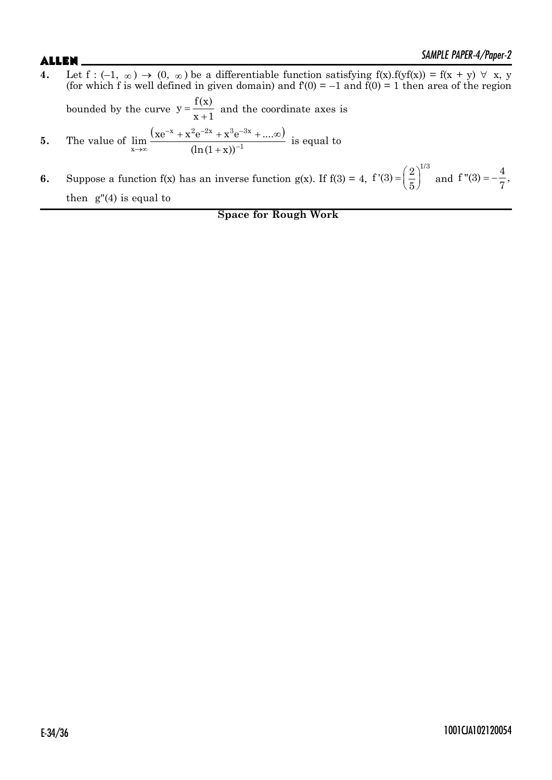- **4.** Let  $f : (-1, \infty) \to (0, \infty)$  be a differentiable function satisfying  $f(x) \cdot f(yf(x)) = f(x + y) \forall x, y$ (for which f is well defined in given domain) and  $f(0) = -1$  and  $f(0) = 1$  then area of the region bounded by the curve  $y = \frac{1}{x+1}$  $y = \frac{f(x)}{x+1}$  and the coordinate axes is **5.** The value of  $(xe^{-x} + x^2e^{-2x} + x^3e^{-3x} + ... \infty)$  $\lim_{x\to\infty} \frac{(xe^{-x} + x^2e^{-2x} + x^3e^{-3x} + ....}{(ln(1+x))^{-1}}$  $(ln(1 + x))$  $-x + z^2e^{-2x} + z^3e^{-3}$  $\lim_{x \to \infty}$   $(\ln(1+x))^2$  $f + x^2 e^{-2x} + x^3 e^{-3x} + ... \infty$  $^{+}$ is equal to
- **6.** Suppose a function f(x) has an inverse function  $g(x)$ . If  $f(3) = 4$ ,  $f'(3) = \left(\frac{2}{5}\right)^{1/3}$ 5  $=\left(\frac{2}{5}\right)^{1/3}$  and  $f''(3) = -\frac{4}{7}$ , 7  $=$   $$ then  $g''(4)$  is equal to